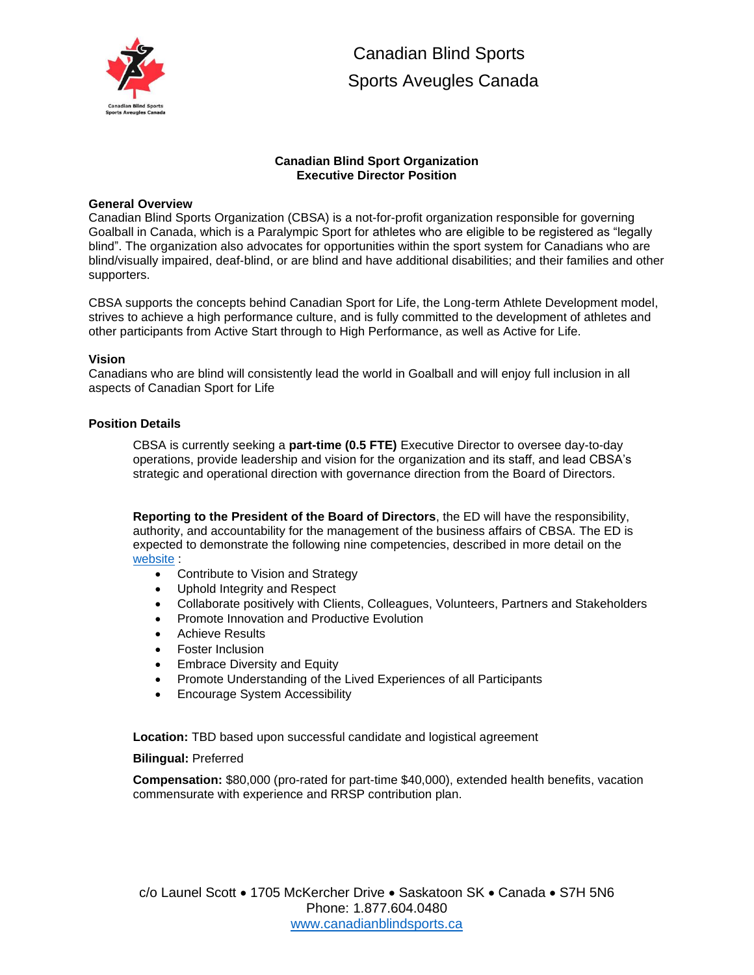

 Canadian Blind Sports Sports Aveugles Canada

## **Canadian Blind Sport Organization Executive Director Position**

#### **General Overview**

Canadian Blind Sports Organization (CBSA) is a not-for-profit organization responsible for governing Goalball in Canada, which is a Paralympic Sport for athletes who are eligible to be registered as "legally blind". The organization also advocates for opportunities within the sport system for Canadians who are blind/visually impaired, deaf-blind, or are blind and have additional disabilities; and their families and other supporters.

CBSA supports the concepts behind Canadian Sport for Life, the Long-term Athlete Development model, strives to achieve a high performance culture, and is fully committed to the development of athletes and other participants from Active Start through to High Performance, as well as Active for Life.

### **Vision**

Canadians who are blind will consistently lead the world in Goalball and will enjoy full inclusion in all aspects of Canadian Sport for Life

### **Position Details**

CBSA is currently seeking a **part-time (0.5 FTE)** Executive Director to oversee day-to-day operations, provide leadership and vision for the organization and its staff, and lead CBSA's strategic and operational direction with governance direction from the Board of Directors.

**Reporting to the President of the Board of Directors**, the ED will have the responsibility, authority, and accountability for the management of the business affairs of CBSA. The ED is expected to demonstrate the following nine competencies, described in more detail on the [website](http://canadianblindsports.ca/about/policies/) :

- Contribute to Vision and Strategy
- Uphold Integrity and Respect
- Collaborate positively with Clients, Colleagues, Volunteers, Partners and Stakeholders
- Promote Innovation and Productive Evolution
- Achieve Results
- Foster Inclusion
- Embrace Diversity and Equity
- Promote Understanding of the Lived Experiences of all Participants
- Encourage System Accessibility

**Location:** TBD based upon successful candidate and logistical agreement

#### **Bilingual:** Preferred

**Compensation:** \$80,000 (pro-rated for part-time \$40,000), extended health benefits, vacation commensurate with experience and RRSP contribution plan.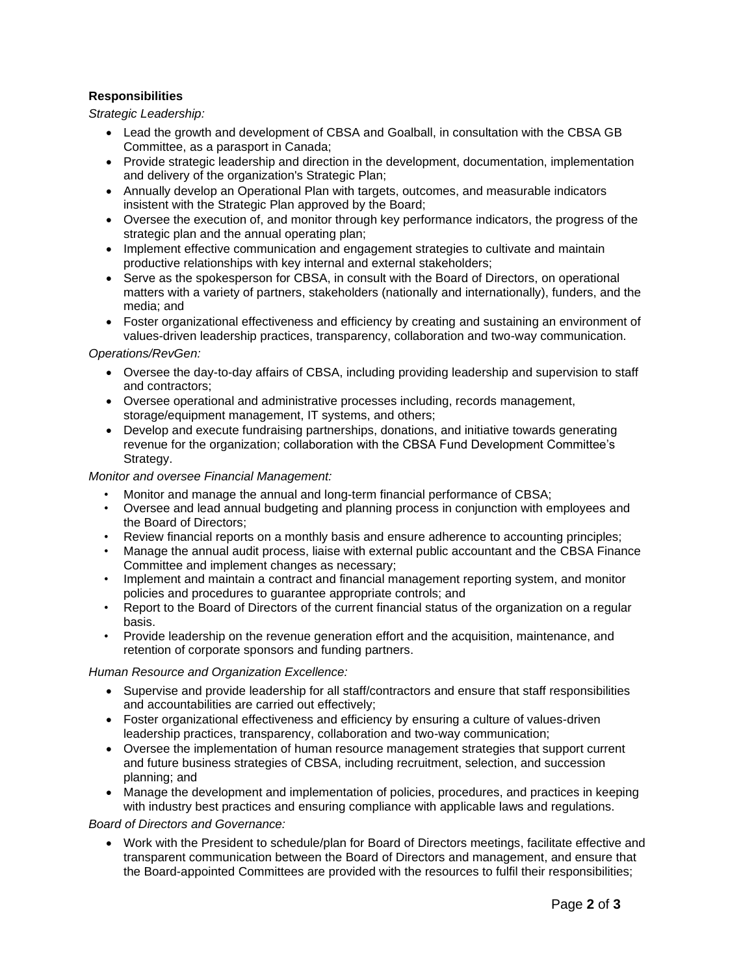# **Responsibilities**

*Strategic Leadership:*

- Lead the growth and development of CBSA and Goalball, in consultation with the CBSA GB Committee, as a parasport in Canada;
- Provide strategic leadership and direction in the development, documentation, implementation and delivery of the organization's Strategic Plan;
- Annually develop an Operational Plan with targets, outcomes, and measurable indicators insistent with the Strategic Plan approved by the Board;
- Oversee the execution of, and monitor through key performance indicators, the progress of the strategic plan and the annual operating plan;
- Implement effective communication and engagement strategies to cultivate and maintain productive relationships with key internal and external stakeholders;
- Serve as the spokesperson for CBSA, in consult with the Board of Directors, on operational matters with a variety of partners, stakeholders (nationally and internationally), funders, and the media; and
- Foster organizational effectiveness and efficiency by creating and sustaining an environment of values-driven leadership practices, transparency, collaboration and two-way communication.

### *Operations/RevGen:*

- Oversee the day-to-day affairs of CBSA, including providing leadership and supervision to staff and contractors;
- Oversee operational and administrative processes including, records management, storage/equipment management, IT systems, and others;
- Develop and execute fundraising partnerships, donations, and initiative towards generating revenue for the organization; collaboration with the CBSA Fund Development Committee's Strategy.

### *Monitor and oversee Financial Management:*

- Monitor and manage the annual and long-term financial performance of CBSA;
- Oversee and lead annual budgeting and planning process in conjunction with employees and the Board of Directors;
- Review financial reports on a monthly basis and ensure adherence to accounting principles;
- Manage the annual audit process, liaise with external public accountant and the CBSA Finance Committee and implement changes as necessary;
- Implement and maintain a contract and financial management reporting system, and monitor policies and procedures to guarantee appropriate controls; and
- Report to the Board of Directors of the current financial status of the organization on a regular basis.
- Provide leadership on the revenue generation effort and the acquisition, maintenance, and retention of corporate sponsors and funding partners.

# *Human Resource and Organization Excellence:*

- Supervise and provide leadership for all staff/contractors and ensure that staff responsibilities and accountabilities are carried out effectively;
- Foster organizational effectiveness and efficiency by ensuring a culture of values-driven leadership practices, transparency, collaboration and two-way communication;
- Oversee the implementation of human resource management strategies that support current and future business strategies of CBSA, including recruitment, selection, and succession planning; and
- Manage the development and implementation of policies, procedures, and practices in keeping with industry best practices and ensuring compliance with applicable laws and regulations.

# *Board of Directors and Governance:*

• Work with the President to schedule/plan for Board of Directors meetings, facilitate effective and transparent communication between the Board of Directors and management, and ensure that the Board-appointed Committees are provided with the resources to fulfil their responsibilities;